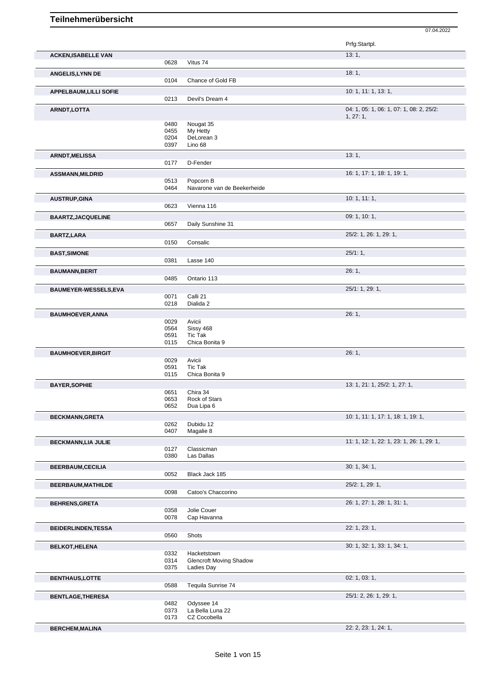|                               |              |                                | 07.04.2022                                |
|-------------------------------|--------------|--------------------------------|-------------------------------------------|
|                               |              |                                | Prfg:Startpl.                             |
| <b>ACKEN, ISABELLE VAN</b>    |              |                                | 13:1,                                     |
|                               | 0628         | Vitus 74                       |                                           |
|                               |              |                                | 18:1,                                     |
| <b>ANGELIS, LYNN DE</b>       | 0104         | Chance of Gold FB              |                                           |
|                               |              |                                |                                           |
| <b>APPELBAUM, LILLI SOFIE</b> | 0213         | Devil's Dream 4                | 10: 1, 11: 1, 13: 1,                      |
| ARNDT, LOTTA                  |              |                                | 04: 1, 05: 1, 06: 1, 07: 1, 08: 2, 25/2:  |
|                               |              |                                | 1, 27: 1,                                 |
|                               | 0480<br>0455 | Nougat 35<br>My Hetty          |                                           |
|                               | 0204         | DeLorean 3                     |                                           |
|                               | 0397         | Lino 68                        |                                           |
| <b>ARNDT, MELISSA</b>         |              |                                | 13:1,                                     |
|                               | 0177         | D-Fender                       |                                           |
|                               |              |                                | 16: 1, 17: 1, 18: 1, 19: 1,               |
| <b>ASSMANN, MILDRID</b>       | 0513         | Popcorn B                      |                                           |
|                               | 0464         | Navarone van de Beekerheide    |                                           |
|                               |              |                                | 10:1, 11:1,                               |
| <b>AUSTRUP, GINA</b>          | 0623         | Vienna 116                     |                                           |
|                               |              |                                |                                           |
| <b>BAARTZ, JACQUELINE</b>     |              |                                | 09: 1, 10: 1,                             |
|                               | 0657         | Daily Sunshine 31              |                                           |
| <b>BARTZ,LARA</b>             |              |                                | 25/2: 1, 26: 1, 29: 1,                    |
|                               | 0150         | Consalic                       |                                           |
| <b>BAST, SIMONE</b>           |              |                                | 25/1:1,                                   |
|                               | 0381         | Lasse 140                      |                                           |
| <b>BAUMANN, BERIT</b>         |              |                                | 26:1,                                     |
|                               | 0485         | Ontario 113                    |                                           |
|                               |              |                                | 25/1: 1, 29: 1,                           |
| <b>BAUMEYER-WESSELS,EVA</b>   | 0071         | Calli 21                       |                                           |
|                               | 0218         | Dialida 2                      |                                           |
|                               |              |                                | 26:1,                                     |
| <b>BAUMHOEVER, ANNA</b>       | 0029         | Avicii                         |                                           |
|                               | 0564         | Sissy 468                      |                                           |
|                               | 0591         | <b>Tic Tak</b>                 |                                           |
|                               | 0115         | Chica Bonita 9                 |                                           |
| <b>BAUMHOEVER, BIRGIT</b>     |              |                                | 26:1,                                     |
|                               | 0029         | Avicii                         |                                           |
|                               | 0591         | <b>Tic Tak</b>                 |                                           |
|                               | 0115         | Chica Bonita 9                 |                                           |
| <b>BAYER, SOPHIE</b>          |              |                                | 13: 1, 21: 1, 25/2: 1, 27: 1,             |
|                               | 0651         | Chira 34                       |                                           |
|                               | 0653         | Rock of Stars                  |                                           |
|                               | 0652         | Dua Lipa 6                     |                                           |
| <b>BECKMANN, GRETA</b>        |              |                                | 10: 1, 11: 1, 17: 1, 18: 1, 19: 1,        |
|                               | 0262         | Dubidu 12                      |                                           |
|                               | 0407         | Magalie 8                      |                                           |
| <b>BECKMANN,LIA JULIE</b>     |              |                                | 11: 1, 12: 1, 22: 1, 23: 1, 26: 1, 29: 1, |
|                               | 0127         | Classicman                     |                                           |
|                               | 0380         | Las Dallas                     |                                           |
| <b>BEERBAUM,CECILIA</b>       |              |                                | 30:1, 34:1,                               |
|                               | 0052         | Black Jack 185                 |                                           |
| BEERBAUM, MATHILDE            |              |                                | 25/2: 1, 29: 1,                           |
|                               | 0098         | Catoo's Chaccorino             |                                           |
| <b>BEHRENS, GRETA</b>         |              |                                | 26: 1, 27: 1, 28: 1, 31: 1,               |
|                               | 0358         | Jolie Couer                    |                                           |
|                               | 0078         | Cap Havanna                    |                                           |
| <b>BEIDERLINDEN, TESSA</b>    |              |                                | 22: 1, 23: 1,                             |
|                               | 0560         | Shots                          |                                           |
|                               |              |                                |                                           |
| <b>BELKOT, HELENA</b>         | 0332         | Hacketstown                    | 30: 1, 32: 1, 33: 1, 34: 1,               |
|                               | 0314         | <b>Glencroft Moving Shadow</b> |                                           |
|                               | 0375         | Ladies Day                     |                                           |
|                               |              |                                | 02: 1, 03: 1,                             |
| <b>BENTHAUS,LOTTE</b>         | 0588         | Tequila Sunrise 74             |                                           |
|                               |              |                                |                                           |

**BENTLAGE,THERESA** 25/1: 2, 26: 1, 29: 1,<br>
0482 Odyssee 14<br>
0373 La Bella Luna 22<br>
0173 CZ Cocobella 0482 Odyssee 14 0373 La Bella Luna 22 0173 CZ Cocobella **BERCHEM,MALINA** 22: 2, 23: 1, 24: 1,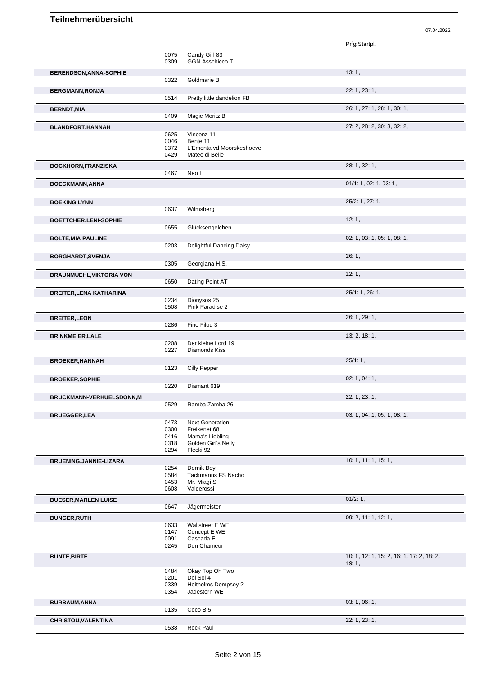|                                 |              |                                  | Prfg:Startpl.                                      |
|---------------------------------|--------------|----------------------------------|----------------------------------------------------|
|                                 | 0075         | Candy Girl 83                    |                                                    |
|                                 | 0309         | <b>GGN Asschicco T</b>           |                                                    |
| BERENDSON, ANNA-SOPHIE          |              |                                  | 13:1,                                              |
|                                 | 0322         | Goldmarie B                      |                                                    |
| <b>BERGMANN, RONJA</b>          |              |                                  | 22: 1, 23: 1,                                      |
|                                 | 0514         | Pretty little dandelion FB       |                                                    |
| <b>BERNDT, MIA</b>              |              |                                  | 26: 1, 27: 1, 28: 1, 30: 1,                        |
|                                 | 0409         | Magic Moritz B                   |                                                    |
| <b>BLANDFORT, HANNAH</b>        |              |                                  | 27: 2, 28: 2, 30: 3, 32: 2,                        |
|                                 | 0625         | Vincenz 11                       |                                                    |
|                                 | 0046         | Bente 11                         |                                                    |
|                                 | 0372         | L'Ementa vd Moorskeshoeve        |                                                    |
|                                 | 0429         | Mateo di Belle                   |                                                    |
| <b>BOCKHORN, FRANZISKA</b>      |              |                                  | 28: 1, 32: 1,                                      |
|                                 | 0467         | Neo L                            |                                                    |
| <b>BOECKMANN, ANNA</b>          |              |                                  | 01/1: 1, 02: 1, 03: 1,                             |
|                                 |              |                                  |                                                    |
| <b>BOEKING, LYNN</b>            |              |                                  | 25/2: 1, 27: 1,                                    |
|                                 | 0637         | Wilmsberg                        |                                                    |
| <b>BOETTCHER, LENI-SOPHIE</b>   |              |                                  | 12:1,                                              |
|                                 | 0655         | Glücksengelchen                  |                                                    |
| <b>BOLTE, MIA PAULINE</b>       |              |                                  | 02: 1, 03: 1, 05: 1, 08: 1,                        |
|                                 | 0203         | Delightful Dancing Daisy         |                                                    |
| <b>BORGHARDT, SVENJA</b>        |              |                                  | 26:1,                                              |
|                                 | 0305         | Georgiana H.S.                   |                                                    |
| <b>BRAUNMUEHL, VIKTORIA VON</b> |              |                                  | 12:1,                                              |
|                                 | 0650         | Dating Point AT                  |                                                    |
| <b>BREITER, LENA KATHARINA</b>  |              |                                  | 25/1: 1, 26: 1,                                    |
|                                 | 0234         | Dionysos 25                      |                                                    |
|                                 | 0508         | Pink Paradise 2                  |                                                    |
| <b>BREITER, LEON</b>            |              |                                  | 26: 1, 29: 1,                                      |
|                                 | 0286         | Fine Filou 3                     |                                                    |
| <b>BRINKMEIER, LALE</b>         |              |                                  | 13: 2, 18: 1,                                      |
|                                 | 0208         | Der kleine Lord 19               |                                                    |
|                                 | 0227         | Diamonds Kiss                    |                                                    |
| <b>BROEKER, HANNAH</b>          |              |                                  | 25/1:1,                                            |
|                                 | 0123         | <b>Cilly Pepper</b>              |                                                    |
| <b>BROEKER, SOPHIE</b>          |              |                                  | 02: 1, 04: 1,                                      |
|                                 | 0220         | Diamant 619                      |                                                    |
| <b>BRUCKMANN-VERHUELSDONK.M</b> |              |                                  | 22: 1, 23: 1,                                      |
|                                 | 0529         | Ramba Zamba 26                   |                                                    |
| <b>BRUEGGER, LEA</b>            |              |                                  | 03: 1, 04: 1, 05: 1, 08: 1,                        |
|                                 | 0473         | <b>Next Generation</b>           |                                                    |
|                                 | 0300         | Freixenet 68                     |                                                    |
|                                 | 0416         | Mama's Liebling                  |                                                    |
|                                 | 0318<br>0294 | Golden Girl's Nelly<br>Flecki 92 |                                                    |
|                                 |              |                                  |                                                    |
| BRUENING, JANNIE-LIZARA         | 0254         | Dornik Boy                       | 10: 1, 11: 1, 15: 1,                               |
|                                 | 0584         | Tackmanns FS Nacho               |                                                    |
|                                 | 0453         | Mr. Miagi S                      |                                                    |
|                                 | 0608         | Valderossi                       |                                                    |
| <b>BUESER, MARLEN LUISE</b>     |              |                                  | 01/2:1,                                            |
|                                 | 0647         | Jägermeister                     |                                                    |
| <b>BUNGER, RUTH</b>             |              |                                  | 09: 2, 11: 1, 12: 1,                               |
|                                 | 0633         | Wallstreet E WE                  |                                                    |
|                                 | 0147         | Concept E WE                     |                                                    |
|                                 | 0091<br>0245 | Cascada E<br>Don Chameur         |                                                    |
|                                 |              |                                  |                                                    |
| <b>BUNTE, BIRTE</b>             |              |                                  | 10: 1, 12: 1, 15: 2, 16: 1, 17: 2, 18: 2,<br>19:1, |
|                                 | 0484         | Okay Top Oh Two                  |                                                    |
|                                 | 0201         | Del Sol 4                        |                                                    |
|                                 | 0339         | Heitholms Dempsey 2              |                                                    |
|                                 | 0354         | Jadestern WE                     |                                                    |
| <b>BURBAUM, ANNA</b>            |              |                                  | 03: 1, 06: 1,                                      |
|                                 | 0135         | Coco B 5                         |                                                    |
| <b>CHRISTOU, VALENTINA</b>      |              |                                  | 22: 1, 23: 1,                                      |
|                                 | 0538         | Rock Paul                        |                                                    |
|                                 |              |                                  |                                                    |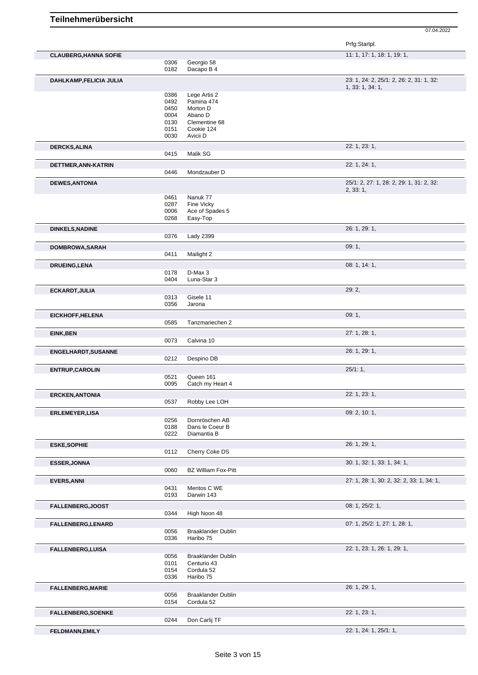|                              |              |                                        | Prfg:Startpl.                                                |
|------------------------------|--------------|----------------------------------------|--------------------------------------------------------------|
| <b>CLAUBERG, HANNA SOFIE</b> |              |                                        | 11: 1, 17: 1, 18: 1, 19: 1,                                  |
|                              | 0306<br>0182 | Georgio 58<br>Dacapo B 4               |                                                              |
|                              |              |                                        |                                                              |
| DAHLKAMP, FELICIA JULIA      |              |                                        | 23: 1, 24: 2, 25/1: 2, 26: 2, 31: 1, 32:<br>1, 33: 1, 34: 1, |
|                              | 0386         | Lege Artis 2                           |                                                              |
|                              | 0492         | Pamina 474                             |                                                              |
|                              | 0450         | Morton D                               |                                                              |
|                              | 0004         | Abano D                                |                                                              |
|                              | 0130<br>0151 | Clementine 68<br>Cookie 124            |                                                              |
|                              | 0030         | Avicii D                               |                                                              |
| <b>DERCKS, ALINA</b>         |              |                                        | 22: 1, 23: 1,                                                |
|                              | 0415         | Malik SG                               |                                                              |
| DETTMER, ANN-KATRIN          |              |                                        | 22: 1, 24: 1,                                                |
|                              | 0446         | Mondzauber D                           |                                                              |
| <b>DEWES, ANTONIA</b>        |              |                                        | 25/1: 2, 27: 1, 28: 2, 29: 1, 31: 2, 32:                     |
|                              |              |                                        | 2, 33: 1,                                                    |
|                              | 0461<br>0287 | Nanuk 77<br>Fine Vicky                 |                                                              |
|                              | 0006         | Ace of Spades 5                        |                                                              |
|                              | 0268         | Easy-Top                               |                                                              |
| <b>DINKELS, NADINE</b>       |              |                                        | 26: 1, 29: 1,                                                |
|                              | 0376         | <b>Lady 2399</b>                       |                                                              |
| DOMBROWA, SARAH              |              |                                        | 09:1,                                                        |
|                              | 0411         | Mailight 2                             |                                                              |
| <b>DRUEING, LENA</b>         |              |                                        | 08: 1, 14: 1,                                                |
|                              | 0178         | D-Max 3                                |                                                              |
|                              | 0404         | Luna-Star 3                            |                                                              |
| ECKARDT, JULIA               |              |                                        | 29:2,                                                        |
|                              | 0313         | Gisele 11                              |                                                              |
|                              | 0356         | Jarona                                 |                                                              |
| EICKHOFF, HELENA             |              |                                        | 09:1,                                                        |
|                              | 0585         | Tanzmariechen 2                        |                                                              |
| <b>EINK, BEN</b>             |              |                                        | 27: 1, 28: 1,                                                |
|                              | 0073         | Calvina 10                             |                                                              |
| <b>ENGELHARDT, SUSANNE</b>   |              |                                        | 26: 1, 29: 1,                                                |
|                              | 0212         | Despino DB                             |                                                              |
| <b>ENTRUP, CAROLIN</b>       |              |                                        | 25/1:1,                                                      |
|                              | 0521         | Queen 161                              |                                                              |
|                              | 0095         | Catch my Heart 4                       |                                                              |
| <b>ERCKEN, ANTONIA</b>       |              |                                        | 22: 1, 23: 1,                                                |
|                              | 0537         | Robby Lee LOH                          |                                                              |
| ERLEMEYER, LISA              |              |                                        | 09: 2, 10: 1,                                                |
|                              | 0256         | Dornröschen AB                         |                                                              |
|                              | 0188<br>0222 | Dans le Coeur B<br>Diamantia B         |                                                              |
|                              |              |                                        |                                                              |
| <b>ESKE, SOPHIE</b>          | 0112         | Cherry Coke DS                         | 26: 1, 29: 1,                                                |
|                              |              |                                        | 30: 1, 32: 1, 33: 1, 34: 1,                                  |
| <b>ESSER, JONNA</b>          | 0060         | <b>BZ William Fox-Pitt</b>             |                                                              |
|                              |              |                                        |                                                              |
| <b>EVERS, ANNI</b>           |              |                                        | 27: 1, 28: 1, 30: 2, 32: 2, 33: 1, 34: 1,                    |
|                              | 0431<br>0193 | Mentos C WE<br>Darwin 143              |                                                              |
|                              |              |                                        |                                                              |
| FALLENBERG, JOOST            | 0344         | High Noon 48                           | 08: 1, 25/2: 1,                                              |
|                              |              |                                        |                                                              |
| <b>FALLENBERG,LENARD</b>     |              |                                        | 07: 1, 25/2: 1, 27: 1, 28: 1,                                |
|                              | 0056<br>0336 | <b>Braaklander Dublin</b><br>Haribo 75 |                                                              |
|                              |              |                                        |                                                              |
| <b>FALLENBERG,LUISA</b>      | 0056         | <b>Braaklander Dublin</b>              | 22: 1, 23: 1, 26: 1, 29: 1,                                  |
|                              | 0101         | Centurio 43                            |                                                              |
|                              | 0154         | Cordula 52                             |                                                              |
|                              | 0336         | Haribo 75                              |                                                              |
| <b>FALLENBERG, MARIE</b>     |              |                                        | 26: 1, 29: 1,                                                |
|                              | 0056         | <b>Braaklander Dublin</b>              |                                                              |
|                              | 0154         | Cordula 52                             |                                                              |
| <b>FALLENBERG, SOENKE</b>    |              |                                        | 22: 1, 23: 1,                                                |
|                              | 0244         | Don Carlij TF                          |                                                              |
|                              |              |                                        |                                                              |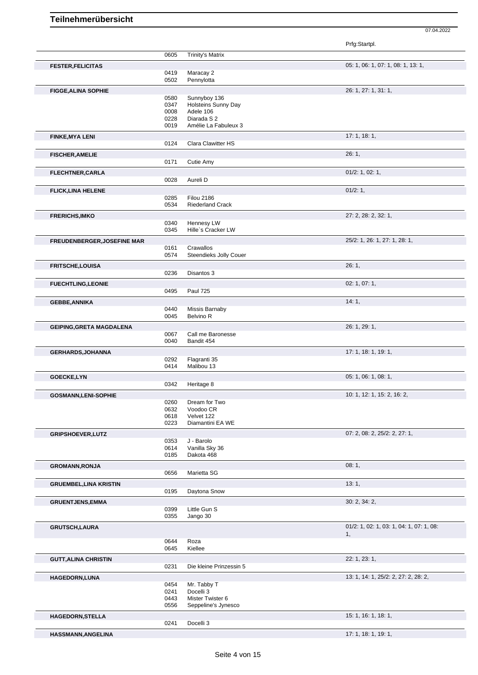|                                    |              |                                  | Prfg:Startpl.                            |
|------------------------------------|--------------|----------------------------------|------------------------------------------|
|                                    | 0605         | <b>Trinity's Matrix</b>          |                                          |
| <b>FESTER, FELICITAS</b>           |              |                                  | 05: 1, 06: 1, 07: 1, 08: 1, 13: 1,       |
|                                    | 0419<br>0502 | Maracay 2<br>Pennylotta          |                                          |
|                                    |              |                                  | 26: 1, 27: 1, 31: 1,                     |
| <b>FIGGE, ALINA SOPHIE</b>         | 0580         | Sunnyboy 136                     |                                          |
|                                    | 0347         | Holsteins Sunny Day              |                                          |
|                                    | 0008<br>0228 | Adele 106<br>Diarada S 2         |                                          |
|                                    | 0019         | Amélie La Fabuleux 3             |                                          |
| <b>FINKE, MYA LENI</b>             |              |                                  | 17: 1, 18: 1,                            |
|                                    | 0124         | Clara Clawitter HS               |                                          |
| <b>FISCHER, AMELIE</b>             |              |                                  | 26:1,                                    |
|                                    | 0171         | Cutie Amy                        |                                          |
| <b>FLECHTNER,CARLA</b>             |              |                                  | $01/2$ : 1, 02: 1,                       |
|                                    | 0028         | Aureli D                         |                                          |
| <b>FLICK, LINA HELENE</b>          |              |                                  | 01/2: 1,                                 |
|                                    | 0285         | <b>Filou 2186</b>                |                                          |
|                                    | 0534         | <b>Riederland Crack</b>          |                                          |
| <b>FRERICHS, IMKO</b>              |              |                                  | 27: 2, 28: 2, 32: 1,                     |
|                                    | 0340<br>0345 | Hennesy LW<br>Hille's Cracker LW |                                          |
| <b>FREUDENBERGER, JOSEFINE MAR</b> |              |                                  | 25/2: 1, 26: 1, 27: 1, 28: 1,            |
|                                    | 0161         | Crawallos                        |                                          |
|                                    | 0574         | Steendieks Jolly Couer           |                                          |
| <b>FRITSCHE,LOUISA</b>             |              |                                  | 26:1,                                    |
|                                    | 0236         | Disantos 3                       |                                          |
| <b>FUECHTLING,LEONIE</b>           |              |                                  | 02: 1, 07: 1,                            |
|                                    | 0495         | <b>Paul 725</b>                  |                                          |
| <b>GEBBE, ANNIKA</b>               |              |                                  | 14:1,                                    |
|                                    | 0440<br>0045 | Missis Barnaby<br>Belvino R      |                                          |
|                                    |              |                                  |                                          |
| <b>GEIPING, GRETA MAGDALENA</b>    | 0067         | Call me Baronesse                | 26: 1, 29: 1,                            |
|                                    | 0040         | Bandit 454                       |                                          |
| <b>GERHARDS, JOHANNA</b>           |              |                                  | 17: 1, 18: 1, 19: 1,                     |
|                                    | 0292         | Flagranti 35                     |                                          |
|                                    | 0414         | Malibou 13                       |                                          |
| GOECKE,LYN                         |              |                                  | 05: 1, 06: 1, 08: 1,                     |
|                                    | 0342         | Heritage 8                       |                                          |
| <b>GOSMANN,LENI-SOPHIE</b>         |              |                                  | 10: 1, 12: 1, 15: 2, 16: 2,              |
|                                    | 0260<br>0632 | Dream for Two<br>Voodoo CR       |                                          |
|                                    | 0618         | Velvet 122                       |                                          |
|                                    | 0223         | Diamantini EA WE                 |                                          |
| GRIPSHOEVER, LUTZ                  |              |                                  | 07: 2, 08: 2, 25/2: 2, 27: 1,            |
|                                    | 0353         | J - Barolo                       |                                          |
|                                    | 0614<br>0185 | Vanilla Sky 36<br>Dakota 468     |                                          |
| <b>GROMANN, RONJA</b>              |              |                                  | 08:1,                                    |
|                                    | 0656         | Marietta SG                      |                                          |
| <b>GRUEMBEL, LINA KRISTIN</b>      |              |                                  | 13:1,                                    |
|                                    | 0195         | Daytona Snow                     |                                          |
| <b>GRUENTJENS, EMMA</b>            |              |                                  | 30: 2, 34: 2,                            |
|                                    | 0399         | Little Gun S                     |                                          |
|                                    | 0355         | Jango 30                         |                                          |
| <b>GRUTSCH,LAURA</b>               |              |                                  | 01/2: 1, 02: 1, 03: 1, 04: 1, 07: 1, 08: |
|                                    |              |                                  | 1,                                       |
|                                    | 0644<br>0645 | Roza<br>Kiellee                  |                                          |
|                                    |              |                                  |                                          |
| <b>GUTT, ALINA CHRISTIN</b>        | 0231         | Die kleine Prinzessin 5          | 22: 1, 23: 1,                            |
|                                    |              |                                  |                                          |
| <b>HAGEDORN,LUNA</b>               | 0454         | Mr. Tabby T                      | 13: 1, 14: 1, 25/2: 2, 27: 2, 28: 2,     |
|                                    | 0241         | Docelli 3                        |                                          |
|                                    | 0443         | Mister Twister 6                 |                                          |
|                                    | 0556         | Seppeline's Jynesco              |                                          |
| <b>HAGEDORN, STELLA</b>            |              |                                  | 15: 1, 16: 1, 18: 1,                     |
|                                    | 0241         | Docelli 3                        |                                          |
| HASSMANN, ANGELINA                 |              |                                  | 17: 1, 18: 1, 19: 1,                     |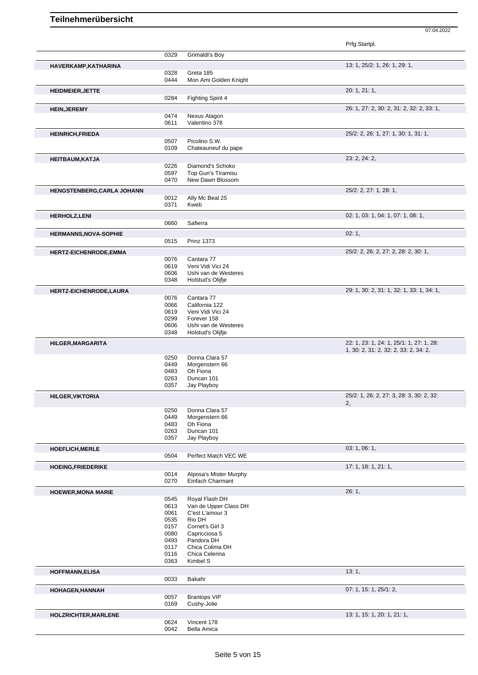|                               |              |                                   | Prfg:Startpl.                                  |
|-------------------------------|--------------|-----------------------------------|------------------------------------------------|
|                               | 0329         | Grimaldi's Boy                    |                                                |
| HAVERKAMP, KATHARINA          |              |                                   | 13: 1, 25/2: 1, 26: 1, 29: 1,                  |
|                               | 0328         | Greta 185                         |                                                |
|                               | 0444         | Mon Ami Golden Knight             |                                                |
| <b>HEIDMEIER, JETTE</b>       |              |                                   | 20: 1, 21: 1,                                  |
|                               | 0284         | Fighting Spirit 4                 |                                                |
| <b>HEIN, JEREMY</b>           |              |                                   | 26: 1, 27: 2, 30: 2, 31: 2, 32: 2, 33: 1,      |
|                               | 0474<br>0611 | Nexus Alagon<br>Valentino 378     |                                                |
|                               |              |                                   |                                                |
| <b>HEINRICH, FRIEDA</b>       | 0507         | Picolino S.W.                     | 25/2: 2, 26: 1, 27: 1, 30: 1, 31: 1,           |
|                               | 0109         | Chateauneuf du pape               |                                                |
| <b>HEITBAUM, KATJA</b>        |              |                                   | 23: 2, 24: 2,                                  |
|                               | 0226         | Diamond's Schoko                  |                                                |
|                               | 0597         | Top Gun's Tiramisu                |                                                |
|                               | 0470         | New Dawn Blossom                  |                                                |
| HENGSTENBERG, CARLA JOHANN    |              |                                   | 25/2: 2, 27: 1, 28: 1,                         |
|                               | 0012<br>0371 | Ally Mc Beal 25<br>Kweb           |                                                |
|                               |              |                                   |                                                |
| <b>HERHOLZ,LENI</b>           | 0660         | Safierra                          | 02: 1, 03: 1, 04: 1, 07: 1, 08: 1,             |
|                               |              |                                   | 02:1,                                          |
| <b>HERMANNS, NOVA-SOPHIE</b>  | 0515         | <b>Prinz 1373</b>                 |                                                |
|                               |              |                                   |                                                |
| <b>HERTZ-EICHENRODE,EMMA</b>  | 0076         | Cantara 77                        | 25/2: 2, 26: 2, 27: 2, 28: 2, 30: 1,           |
|                               | 0619         | Veni Vidi Vici 24                 |                                                |
|                               | 0606         | Ushi van de Westeres              |                                                |
|                               | 0348         | Holstud's Olijfje                 |                                                |
| <b>HERTZ-EICHENRODE,LAURA</b> |              |                                   | 29: 1, 30: 2, 31: 1, 32: 1, 33: 1, 34: 1,      |
|                               | 0076<br>0066 | Cantara 77<br>California 122      |                                                |
|                               | 0619         | Veni Vidi Vici 24                 |                                                |
|                               | 0299         | Forever 158                       |                                                |
|                               | 0606         | Ushi van de Westeres              |                                                |
|                               | 0348         | Holstud's Olijfje                 |                                                |
| <b>HILGER, MARGARITA</b>      |              |                                   | 22: 1, 23: 1, 24: 1, 25/1: 1, 27: 1, 28:       |
|                               | 0250         | Donna Clara 57                    | 1, 30: 2, 31: 2, 32: 2, 33: 2, 34: 2,          |
|                               | 0449         | Morgenstern 66                    |                                                |
|                               | 0483         | Oh Fiona                          |                                                |
|                               | 0263         | Duncan 101                        |                                                |
|                               | 0357         | Jay Playboy                       |                                                |
| <b>HILGER, VIKTORIA</b>       |              |                                   | 25/2: 1, 26: 2, 27: 3, 28: 3, 30: 2, 32:<br>2, |
|                               | 0250         | Donna Clara 57                    |                                                |
|                               | 0449         | Morgenstern 66                    |                                                |
|                               | 0483         | Oh Fiona                          |                                                |
|                               | 0263<br>0357 | Duncan 101<br>Jay Playboy         |                                                |
|                               |              |                                   |                                                |
| <b>HOEFLICH, MERLE</b>        | 0504         | Perfect Match VEC WE              | 03: 1, 06: 1,                                  |
|                               |              |                                   | 17: 1, 18: 1, 21: 1,                           |
| <b>HOEING,FRIEDERIKE</b>      | 0014         | Alposa's Mister Murphy            |                                                |
|                               | 0270         | Einfach Charmant                  |                                                |
| <b>HOEWER, MONA MARIE</b>     |              |                                   | 26:1,                                          |
|                               | 0545         | Royal Flash DH                    |                                                |
|                               | 0613         | Van de Upper Class DH             |                                                |
|                               | 0061<br>0535 | C'est L'amour 3<br>Rio DH         |                                                |
|                               | 0157         | Cornet's Girl 3                   |                                                |
|                               | 0080         | Capricciosa 5                     |                                                |
|                               | 0493         | Pandora DH                        |                                                |
|                               | 0117<br>0116 | Chica Colima DH<br>Chica Celerina |                                                |
|                               | 0363         | Kimbel S                          |                                                |
| <b>HOFFMANN, ELISA</b>        |              |                                   | 13:1,                                          |
|                               | 0033         | Bakahr                            |                                                |
| HOHAGEN, HANNAH               |              |                                   | 07: 1, 15: 1, 25/1: 2,                         |
|                               | 0057         | <b>Brantops VIP</b>               |                                                |
|                               | 0169         | Cushy-Jolie                       |                                                |
| HOLZRICHTER, MARLENE          |              |                                   | 13: 1, 15: 1, 20: 1, 21: 1,                    |
|                               | 0624         | Vincent 178                       |                                                |
|                               | 0042         | Bella Amica                       |                                                |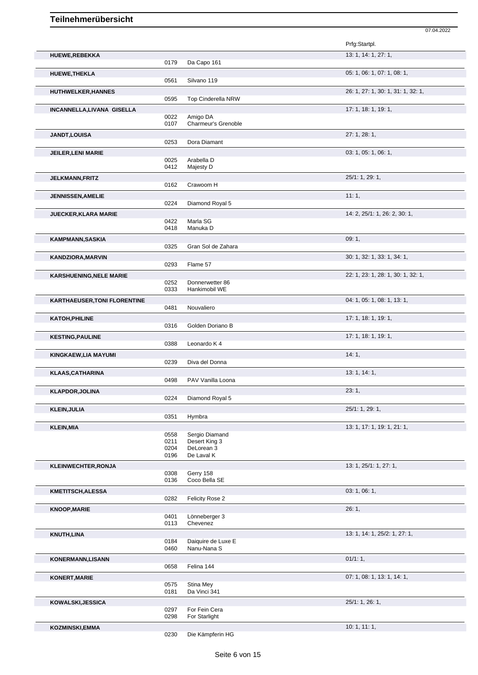|                                     |              |                             | Prfg:Startpl.                      |
|-------------------------------------|--------------|-----------------------------|------------------------------------|
| HUEWE, REBEKKA                      |              |                             | 13: 1, 14: 1, 27: 1,               |
|                                     | 0179         | Da Capo 161                 |                                    |
| <b>HUEWE, THEKLA</b>                |              |                             | 05: 1, 06: 1, 07: 1, 08: 1,        |
|                                     | 0561         | Silvano 119                 |                                    |
| HUTHWELKER, HANNES                  |              |                             | 26: 1, 27: 1, 30: 1, 31: 1, 32: 1, |
|                                     | 0595         | Top Cinderella NRW          |                                    |
| INCANNELLA, LIVANA GISELLA          | 0022         | Amigo DA                    | 17: 1, 18: 1, 19: 1,               |
|                                     | 0107         | Charmeur's Grenoble         |                                    |
| <b>JANDT,LOUISA</b>                 |              |                             | 27: 1, 28: 1,                      |
|                                     | 0253         | Dora Diamant                |                                    |
| <b>JEILER, LENI MARIE</b>           |              |                             | 03: 1, 05: 1, 06: 1,               |
|                                     | 0025         | Arabella D                  |                                    |
|                                     | 0412         | Majesty D                   |                                    |
| <b>JELKMANN,FRITZ</b>               |              |                             | 25/1: 1, 29: 1,                    |
|                                     | 0162         | Crawoom H                   |                                    |
| <b>JENNISSEN, AMELIE</b>            | 0224         | Diamond Royal 5             | 11:1,                              |
|                                     |              |                             |                                    |
| <b>JUECKER, KLARA MARIE</b>         | 0422         | Marla SG                    | 14: 2, 25/1: 1, 26: 2, 30: 1,      |
|                                     | 0418         | Manuka D                    |                                    |
| <b>KAMPMANN, SASKIA</b>             |              |                             | 09:1,                              |
|                                     | 0325         | Gran Sol de Zahara          |                                    |
| KANDZIORA, MARVIN                   |              |                             | 30: 1, 32: 1, 33: 1, 34: 1,        |
|                                     | 0293         | Flame 57                    |                                    |
| <b>KARSHUENING, NELE MARIE</b>      |              |                             | 22: 1, 23: 1, 28: 1, 30: 1, 32: 1, |
|                                     | 0252         | Donnerwetter 86             |                                    |
|                                     | 0333         | Hankimobil WE               |                                    |
| <b>KARTHAEUSER, TONI FLORENTINE</b> |              |                             | 04: 1, 05: 1, 08: 1, 13: 1,        |
|                                     | 0481         | Nouvaliero                  |                                    |
| KATOH, PHILINE                      | 0316         | Golden Doriano B            | 17: 1, 18: 1, 19: 1,               |
|                                     |              |                             |                                    |
| <b>KESTING, PAULINE</b>             | 0388         | Leonardo K 4                | 17: 1, 18: 1, 19: 1,               |
|                                     |              |                             |                                    |
| KINGKAEW,LIA MAYUMI                 | 0239         | Diva del Donna              | 14:1,                              |
|                                     |              |                             | 13: 1, 14: 1,                      |
| KLAAS, CATHARINA                    | 0498         | PAV Vanilla Loona           |                                    |
| <b>KLAPDOR, JOLINA</b>              |              |                             | 23:1,                              |
|                                     | 0224         | Diamond Royal 5             |                                    |
| <b>KLEIN, JULIA</b>                 |              |                             | 25/1: 1, 29: 1,                    |
|                                     | 0351         | Hymbra                      |                                    |
| <b>KLEIN, MIA</b>                   |              |                             | 13: 1, 17: 1, 19: 1, 21: 1,        |
|                                     | 0558         | Sergio Diamand              |                                    |
|                                     | 0211<br>0204 | Desert King 3<br>DeLorean 3 |                                    |
|                                     | 0196         | De Laval K                  |                                    |
| <b>KLEINWECHTER, RONJA</b>          |              |                             | 13: 1, 25/1: 1, 27: 1,             |
|                                     | 0308         | Gerry 158                   |                                    |
|                                     | 0136         | Coco Bella SE               |                                    |
| <b>KMETITSCH, ALESSA</b>            |              |                             | 03: 1, 06: 1,                      |
|                                     | 0282         | Felicity Rose 2             |                                    |
| <b>KNOOP, MARIE</b>                 |              |                             | 26:1,                              |
|                                     | 0401<br>0113 | Lönneberger 3<br>Chevenez   |                                    |
|                                     |              |                             | 13: 1, 14: 1, 25/2: 1, 27: 1,      |
| <b>KNUTH,LINA</b>                   | 0184         | Daiquire de Luxe E          |                                    |
|                                     | 0460         | Nanu-Nana S                 |                                    |
| <b>KONERMANN, LISANN</b>            |              |                             | 01/1:1,                            |
|                                     | 0658         | Felina 144                  |                                    |
| <b>KONERT, MARIE</b>                |              |                             | 07: 1, 08: 1, 13: 1, 14: 1,        |
|                                     | 0575         | Stina Mey                   |                                    |
|                                     | 0181         | Da Vinci 341                |                                    |
| KOWALSKI, JESSICA                   |              | For Fein Cera               | 25/1: 1, 26: 1,                    |
|                                     | 0297<br>0298 | For Starlight               |                                    |
| KOZMINSKI, EMMA                     |              |                             | 10:1, 11:1,                        |
|                                     | 0230         | Die Kämpferin HG            |                                    |

07.04.2022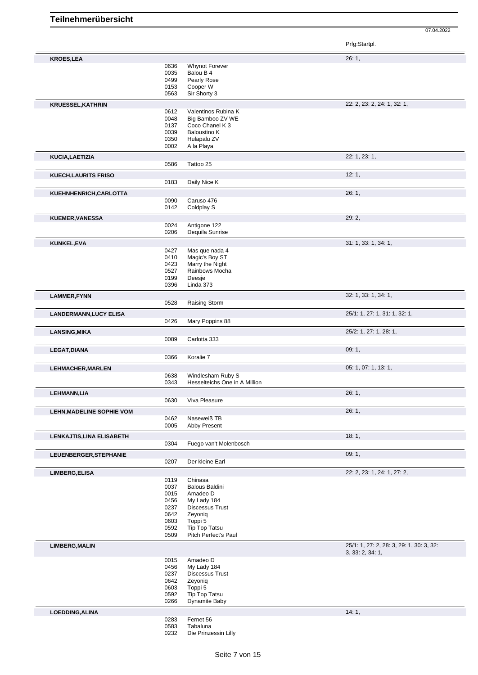|                               |              |                                   | Prfg:Startpl.                            |
|-------------------------------|--------------|-----------------------------------|------------------------------------------|
| <b>KROES,LEA</b>              |              |                                   | 26:1,                                    |
|                               | 0636         | <b>Whynot Forever</b>             |                                          |
|                               | 0035         | Balou B 4                         |                                          |
|                               | 0499         | Pearly Rose                       |                                          |
|                               | 0153<br>0563 | Cooper W<br>Sir Shorty 3          |                                          |
|                               |              |                                   |                                          |
| <b>KRUESSEL, KATHRIN</b>      | 0612         | Valentinos Rubina K               | 22: 2, 23: 2, 24: 1, 32: 1,              |
|                               | 0048         | Big Bamboo ZV WE                  |                                          |
|                               | 0137         | Coco Chanel K 3                   |                                          |
|                               | 0039         | <b>Baloustino K</b>               |                                          |
|                               | 0350         | Hulapalu ZV                       |                                          |
|                               | 0002         | A la Playa                        |                                          |
| KUCIA, LAETIZIA               |              |                                   | 22: 1, 23: 1,                            |
|                               | 0586         | Tattoo 25                         |                                          |
| <b>KUECH, LAURITS FRISO</b>   |              |                                   | 12:1,                                    |
|                               | 0183         | Daily Nice K                      |                                          |
| KUEHNHENRICH, CARLOTTA        |              |                                   | 26:1,                                    |
|                               | 0090         | Caruso 476                        |                                          |
|                               | 0142         | Coldplay S                        |                                          |
| <b>KUEMER, VANESSA</b>        |              |                                   | 29:2,                                    |
|                               | 0024         | Antigone 122                      |                                          |
|                               | 0206         | Dequila Sunrise                   |                                          |
| KUNKEL, EVA                   |              |                                   | 31: 1, 33: 1, 34: 1,                     |
|                               | 0427         | Mas que nada 4                    |                                          |
|                               | 0410<br>0423 | Magic's Boy ST<br>Marry the Night |                                          |
|                               | 0527         | Rainbows Mocha                    |                                          |
|                               | 0199         | Deesje                            |                                          |
|                               | 0396         | Linda 373                         |                                          |
| LAMMER, FYNN                  |              |                                   | 32: 1, 33: 1, 34: 1,                     |
|                               | 0528         | Raising Storm                     |                                          |
| <b>LANDERMANN, LUCY ELISA</b> |              |                                   | 25/1: 1, 27: 1, 31: 1, 32: 1,            |
|                               | 0426         | Mary Poppins 88                   |                                          |
| <b>LANSING, MIKA</b>          |              |                                   | 25/2: 1, 27: 1, 28: 1,                   |
|                               | 0089         | Carlotta 333                      |                                          |
|                               |              |                                   |                                          |
| LEGAT, DIANA                  | 0366         | Koralie 7                         | 09:1,                                    |
|                               |              |                                   | 05: 1, 07: 1, 13: 1,                     |
| <b>LEHMACHER, MARLEN</b>      | 0638         | Windlesham Ruby S                 |                                          |
|                               | 0343         | Hesselteichs One in A Million     |                                          |
| <b>LEHMANN, LIA</b>           |              |                                   | 26:1,                                    |
|                               | 0630         | Viva Pleasure                     |                                          |
|                               |              |                                   | 26:1,                                    |
| LEHN, MADELINE SOPHIE VOM     | 0462         | Naseweiß TB                       |                                          |
|                               | 0005         | Abby Present                      |                                          |
| LENKAJTIS, LINA ELISABETH     |              |                                   | 18:1,                                    |
|                               | 0304         | Fuego van't Molenbosch            |                                          |
| LEUENBERGER, STEPHANIE        |              |                                   | 09:1,                                    |
|                               | 0207         | Der kleine Earl                   |                                          |
| <b>LIMBERG, ELISA</b>         |              |                                   | 22: 2, 23: 1, 24: 1, 27: 2,              |
|                               | 0119         | Chinasa                           |                                          |
|                               | 0037         | <b>Balous Baldini</b>             |                                          |
|                               | 0015         | Amadeo D                          |                                          |
|                               | 0456         | My Lady 184                       |                                          |
|                               | 0237         | <b>Discessus Trust</b>            |                                          |
|                               | 0642<br>0603 | Zeyonig<br>Toppi 5                |                                          |
|                               | 0592         | Tip Top Tatsu                     |                                          |
|                               | 0509         | Pitch Perfect's Paul              |                                          |
| <b>LIMBERG, MALIN</b>         |              |                                   | 25/1: 1, 27: 2, 28: 3, 29: 1, 30: 3, 32: |
|                               |              |                                   | 3, 33: 2, 34: 1,                         |
|                               | 0015         | Amadeo D                          |                                          |
|                               | 0456         | My Lady 184                       |                                          |
|                               | 0237         | <b>Discessus Trust</b>            |                                          |
|                               | 0642<br>0603 | Zeyonig<br>Toppi 5                |                                          |
|                               | 0592         | <b>Tip Top Tatsu</b>              |                                          |
|                               | 0266         | Dynamite Baby                     |                                          |
| LOEDDING, ALINA               |              |                                   | 14:1,                                    |
|                               | 0283         | Fernet 56                         |                                          |
|                               | 0583         | Tabaluna                          |                                          |
|                               | 0232         | Die Prinzessin Lilly              |                                          |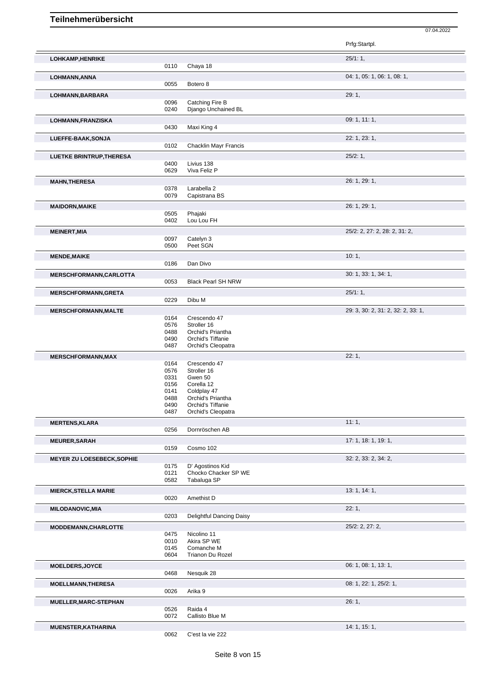|                                   |              |                                        | Prfg:Startpl.                      |
|-----------------------------------|--------------|----------------------------------------|------------------------------------|
| LOHKAMP, HENRIKE                  |              |                                        | 25/1:1,                            |
|                                   | 0110         | Chaya 18                               |                                    |
|                                   |              |                                        |                                    |
| LOHMANN, ANNA                     |              |                                        | 04: 1, 05: 1, 06: 1, 08: 1,        |
|                                   | 0055         | Botero <sub>8</sub>                    |                                    |
| LOHMANN, BARBARA                  |              |                                        | 29:1,                              |
|                                   | 0096         | Catching Fire B                        |                                    |
|                                   | 0240         | Django Unchained BL                    |                                    |
| LOHMANN, FRANZISKA                |              |                                        | 09: 1, 11: 1,                      |
|                                   | 0430         | Maxi King 4                            |                                    |
| LUEFFE-BAAK, SONJA                |              |                                        | 22: 1, 23: 1,                      |
|                                   | 0102         | <b>Chacklin Mayr Francis</b>           |                                    |
| <b>LUETKE BRINTRUP, THERESA</b>   |              |                                        | 25/2:1,                            |
|                                   | 0400         | Livius 138                             |                                    |
|                                   | 0629         | Viva Feliz P                           |                                    |
| <b>MAHN, THERESA</b>              |              |                                        | 26: 1, 29: 1,                      |
|                                   | 0378         | Larabella 2                            |                                    |
|                                   | 0079         | Capistrana BS                          |                                    |
| <b>MAIDORN, MAIKE</b>             |              |                                        | 26: 1, 29: 1,                      |
|                                   | 0505         | Phajaki                                |                                    |
|                                   | 0402         | Lou Lou FH                             |                                    |
| <b>MEINERT, MIA</b>               |              |                                        | 25/2: 2, 27: 2, 28: 2, 31: 2,      |
|                                   | 0097         | Catelyn 3                              |                                    |
|                                   | 0500         | Peet SGN                               |                                    |
| <b>MENDE, MAIKE</b>               |              |                                        | 10:1,                              |
|                                   | 0186         | Dan Divo                               |                                    |
| <b>MERSCHFORMANN, CARLOTTA</b>    |              |                                        | 30: 1, 33: 1, 34: 1,               |
|                                   | 0053         | <b>Black Pearl SH NRW</b>              |                                    |
| <b>MERSCHFORMANN, GRETA</b>       |              |                                        | 25/1:1,                            |
|                                   | 0229         | Dibu M                                 |                                    |
| <b>MERSCHFORMANN, MALTE</b>       |              |                                        | 29: 3, 30: 2, 31: 2, 32: 2, 33: 1, |
|                                   | 0164         | Crescendo 47                           |                                    |
|                                   | 0576         | Stroller 16                            |                                    |
|                                   | 0488<br>0490 | Orchid's Priantha<br>Orchid's Tiffanie |                                    |
|                                   | 0487         | Orchid's Cleopatra                     |                                    |
|                                   |              |                                        |                                    |
| <b>MERSCHFORMANN, MAX</b>         | 0164         | Crescendo 47                           | 22:1,                              |
|                                   | 0576         | Stroller 16                            |                                    |
|                                   | 0331         | Gwen 50                                |                                    |
|                                   | 0156         | Corella 12                             |                                    |
|                                   | 0141<br>0488 | Coldplay 47<br>Orchid's Priantha       |                                    |
|                                   | 0490         | Orchid's Tiffanie                      |                                    |
|                                   | 0487         | Orchid's Cleopatra                     |                                    |
| <b>MERTENS, KLARA</b>             |              |                                        | 11:1,                              |
|                                   | 0256         | Dornröschen AB                         |                                    |
| <b>MEURER, SARAH</b>              |              |                                        | 17: 1, 18: 1, 19: 1,               |
|                                   | 0159         | Cosmo 102                              |                                    |
| <b>MEYER ZU LOESEBECK, SOPHIE</b> |              |                                        | 32: 2, 33: 2, 34: 2,               |
|                                   | 0175         | D' Agostinos Kid                       |                                    |
|                                   | 0121         | Chocko Chacker SP WE                   |                                    |
|                                   | 0582         | Tabaluga SP                            |                                    |
| <b>MIERCK, STELLA MARIE</b>       |              |                                        | 13: 1, 14: 1,                      |
|                                   | 0020         | Amethist D                             |                                    |
| <b>MILODANOVIC, MIA</b>           |              |                                        | 22:1,                              |
|                                   | 0203         | <b>Delightful Dancing Daisy</b>        |                                    |
| MODDEMANN, CHARLOTTE              |              |                                        | 25/2: 2, 27: 2,                    |
|                                   | 0475         | Nicolino 11                            |                                    |
|                                   | 0010         | Akira SP WE                            |                                    |
|                                   | 0145<br>0604 | Comanche M<br>Trianon Du Rozel         |                                    |
|                                   |              |                                        |                                    |
| <b>MOELDERS, JOYCE</b>            |              |                                        | 06: 1, 08: 1, 13: 1,               |
|                                   | 0468         | Nesquik 28                             |                                    |
| <b>MOELLMANN, THERESA</b>         |              |                                        | 08: 1, 22: 1, 25/2: 1,             |
|                                   | 0026         | Arika 9                                |                                    |
| MUELLER, MARC-STEPHAN             |              |                                        | 26:1,                              |
|                                   | 0526<br>0072 | Raida 4<br>Callisto Blue M             |                                    |
|                                   |              |                                        |                                    |

**MUENSTER,KATHARINA** 14: 1, 15: 1, C'est la vie 222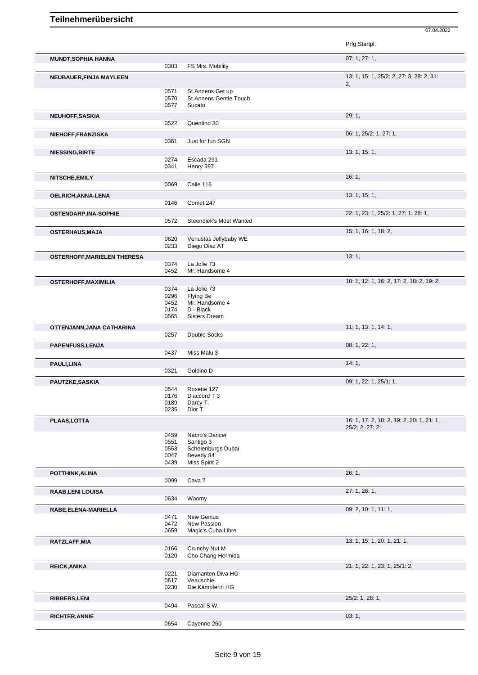|                                    |              |                                            | 07.04.2022                                |
|------------------------------------|--------------|--------------------------------------------|-------------------------------------------|
|                                    |              |                                            | Prfg:Startpl.                             |
| <b>MUNDT, SOPHIA HANNA</b>         | 0303         | FS Mrs. Mobility                           | 07: 1, 27: 1,                             |
| NEUBAUER, FINJA MAYLEEN            |              |                                            | 13: 1, 15: 1, 25/2: 2, 27: 3, 28: 2, 31:  |
|                                    |              |                                            | 2,                                        |
|                                    | 0571<br>0570 | St.Annens Get up<br>St.Annens Gentle Touch |                                           |
|                                    | 0577         | Sucato                                     |                                           |
| NEUHOFF, SASKIA                    |              |                                            | 29:1,                                     |
|                                    | 0522         | Quentino 30                                |                                           |
| NIEHOFF, FRANZISKA                 |              |                                            | 06: 1, 25/2: 1, 27: 1,                    |
|                                    | 0361         | Just for fun SGN                           |                                           |
| <b>NIESSING, BIRTE</b>             |              |                                            | 13: 1, 15: 1,                             |
|                                    | 0274<br>0341 | Escada 291<br>Henry 397                    |                                           |
|                                    |              |                                            |                                           |
| NITSCHE, EMILY                     | 0069         | Calle 116                                  | 26:1                                      |
|                                    |              |                                            | 13: 1, 15: 1,                             |
| OELRICH, ANNA-LENA                 | 0146         | Comet 247                                  |                                           |
| <b>OSTENDARP, INA-SOPHIE</b>       |              |                                            | 22: 1, 23: 1, 25/2: 1, 27: 1, 28: 1,      |
|                                    | 0572         | Steendiek's Most Wanted                    |                                           |
| OSTERHAUS, MAJA                    |              |                                            | 15: 1, 16: 1, 18: 2,                      |
|                                    | 0620         | Venustas Jellybaby WE                      |                                           |
|                                    | 0233         | Diego Diaz AT                              |                                           |
| <b>OSTERHOFF, MARIELEN THERESA</b> |              |                                            | 13:1,                                     |
|                                    | 0374<br>0452 | La Jolie 73<br>Mr. Handsome 4              |                                           |
|                                    |              |                                            |                                           |
| <b>OSTERHOFF, MAXIMILIA</b>        | 0374         | La Jolie 73                                | 10: 1, 12: 1, 16: 2, 17: 2, 18: 2, 19: 2, |
|                                    | 0296         | Flying Be                                  |                                           |
|                                    | 0452         | Mr. Handsome 4                             |                                           |
|                                    | 0174<br>0565 | D - Black<br><b>Sisters Dream</b>          |                                           |
|                                    |              |                                            |                                           |
| OTTENJANN, JANA CATHARINA          | 0257         | Double Socks                               | 11: 1, 13: 1, 14: 1,                      |
|                                    |              |                                            |                                           |
| PAPENFUSS, LENJA                   | 0437         | Miss Malu 3                                | 08: 1, 22: 1,                             |
| PAULI, LINA                        |              |                                            | 14:1,                                     |
|                                    | 0321         | Goldino D                                  |                                           |
| PAUTZKE, SASKIA                    |              |                                            | 09: 1, 22: 1, 25/1: 1,                    |
|                                    | 0544         | Roxette 127                                |                                           |
|                                    | 0176         | D'accord T 3                               |                                           |
|                                    | 0189<br>0235 | Darcy T.<br>Dior T                         |                                           |
| PLAAS, LOTTA                       |              |                                            | 16: 1, 17: 2, 18: 2, 19: 2, 20: 1, 21: 1, |
|                                    |              |                                            | 25/2: 2, 27: 2,                           |
|                                    | 0459         | Nacro's Dancer                             |                                           |
|                                    | 0551<br>0553 | Santigo 3<br>Schelenburgs Dubai            |                                           |
|                                    | 0047         | Beverly 84                                 |                                           |
|                                    | 0439         | Miss Spirit 2                              |                                           |
| POTTHINK, ALINA                    |              |                                            | 26:1,                                     |
|                                    | 0099         | Cava 7                                     |                                           |
| <b>RAAB, LENI LOUISA</b>           |              |                                            | 27: 1, 28: 1,                             |
|                                    | 0634         | Waomy                                      |                                           |
| RABE, ELENA-MARIELLA               |              |                                            | 09: 2, 10: 1, 11: 1,                      |
|                                    | 0471<br>0472 | New Genius<br>New Passion                  |                                           |
|                                    | 0659         | Magic's Cuba Libre                         |                                           |
| RATZLAFF, MIA                      |              |                                            | 13: 1, 15: 1, 20: 1, 21: 1,               |
|                                    | 0166         | Crunchy Nut M                              |                                           |
|                                    | 0120         | Cho Chang Hermida                          |                                           |
| <b>REICK, ANIKA</b>                |              |                                            | 21: 1, 22: 1, 23: 1, 25/1: 2,             |
|                                    | 0221         | Diamanten Diva HG                          |                                           |
|                                    | 0617<br>0230 | Veauschie<br>Die Kämpferin HG              |                                           |
|                                    |              |                                            |                                           |
| <b>RIBBERS,LENI</b>                | 0494         | Pascal S.W.                                | 25/2: 1, 28: 1,                           |
|                                    |              |                                            | 03:1,                                     |
| <b>RICHTER, ANNIE</b>              | 0654         | Cayenne 260                                |                                           |
|                                    |              |                                            |                                           |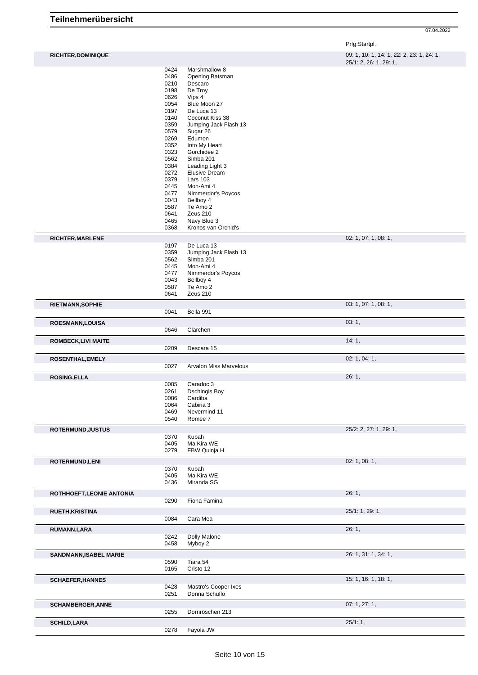Prfg:Startpl.

| <b>RICHTER, DOMINIQUE</b>                    |              |                                    | 09: 1, 10: 1, 14: 1, 22: 2, 23: 1, 24: 1,<br>25/1: 2, 26: 1, 29: 1, |
|----------------------------------------------|--------------|------------------------------------|---------------------------------------------------------------------|
|                                              | 0424         | Marshmallow 8                      |                                                                     |
|                                              | 0486         | Opening Batsman                    |                                                                     |
|                                              | 0210         | Descaro                            |                                                                     |
|                                              | 0198         | De Troy                            |                                                                     |
|                                              | 0626         | Vips 4                             |                                                                     |
|                                              | 0054         | Blue Moon 27                       |                                                                     |
|                                              | 0197         | De Luca 13                         |                                                                     |
|                                              | 0140         | Coconut Kiss 38                    |                                                                     |
|                                              | 0359         | Jumping Jack Flash 13              |                                                                     |
|                                              | 0579<br>0269 | Sugar 26<br>Edumon                 |                                                                     |
|                                              | 0352         | Into My Heart                      |                                                                     |
|                                              | 0323         | Gorchidee 2                        |                                                                     |
|                                              | 0562         | Simba 201                          |                                                                     |
|                                              | 0384         | Leading Light 3                    |                                                                     |
|                                              | 0272         | <b>Elusive Dream</b>               |                                                                     |
|                                              | 0379         | <b>Lars 103</b>                    |                                                                     |
|                                              | 0445<br>0477 | Mon-Ami 4<br>Nimmerdor's Poycos    |                                                                     |
|                                              | 0043         | Bellboy 4                          |                                                                     |
|                                              | 0587         | Te Amo 2                           |                                                                     |
|                                              | 0641         | Zeus 210                           |                                                                     |
|                                              | 0465         | Navy Blue 3                        |                                                                     |
|                                              | 0368         | Kronos van Orchid's                |                                                                     |
| <b>RICHTER, MARLENE</b>                      |              |                                    | 02: 1, 07: 1, 08: 1,                                                |
|                                              | 0197         | De Luca 13                         |                                                                     |
|                                              | 0359<br>0562 | Jumping Jack Flash 13<br>Simba 201 |                                                                     |
|                                              | 0445         | Mon-Ami 4                          |                                                                     |
|                                              | 0477         | Nimmerdor's Poycos                 |                                                                     |
|                                              | 0043         | Bellboy 4                          |                                                                     |
|                                              | 0587         | Te Amo 2                           |                                                                     |
|                                              | 0641         | Zeus 210                           |                                                                     |
| <b>RIETMANN, SOPHIE</b>                      |              |                                    | 03: 1, 07: 1, 08: 1,                                                |
|                                              | 0041         | Bella 991                          |                                                                     |
| <b>ROESMANN,LOUISA</b>                       | 0646         | Clärchen                           | 03:1,                                                               |
|                                              |              |                                    |                                                                     |
| <b>ROMBECK,LIVI MAITE</b>                    | 0209         | Descara 15                         | 14:1,                                                               |
|                                              |              |                                    |                                                                     |
| ROSENTHAL, EMELY                             | 0027         | <b>Arvalon Miss Marvelous</b>      | 02: 1, 04: 1,                                                       |
|                                              |              |                                    |                                                                     |
|                                              |              |                                    |                                                                     |
| <b>ROSING, ELLA</b>                          |              |                                    | 26:1,                                                               |
|                                              | 0085         | Caradoc 3                          |                                                                     |
|                                              | 0261<br>0086 | <b>Dschingis Boy</b><br>Cardiba    |                                                                     |
|                                              | 0064         | Cabiria 3                          |                                                                     |
|                                              | 0469         | Nevermind 11                       |                                                                     |
|                                              | 0540         | Romee 7                            |                                                                     |
| <b>ROTERMUND, JUSTUS</b>                     |              |                                    | 25/2: 2, 27: 1, 29: 1,                                              |
|                                              | 0370         | Kubah                              |                                                                     |
|                                              | 0405<br>0279 | Ma Kira WE                         |                                                                     |
|                                              |              | FBW Quinja H                       |                                                                     |
|                                              |              |                                    | 02: 1, 08: 1,                                                       |
|                                              | 0370         | Kubah                              |                                                                     |
|                                              | 0405<br>0436 | Ma Kira WE<br>Miranda SG           |                                                                     |
|                                              |              |                                    |                                                                     |
|                                              | 0290         | Fiona Famina                       | 26:1,                                                               |
| ROTERMUND, LENI<br>ROTHHOEFT, LEONIE ANTONIA |              |                                    |                                                                     |
| <b>RUETH, KRISTINA</b>                       | 0084         | Cara Mea                           | 25/1: 1, 29: 1,                                                     |
|                                              |              |                                    | 26:1,                                                               |
| <b>RUMANN,LARA</b>                           | 0242         | Dolly Malone                       |                                                                     |
|                                              | 0458         | Myboy 2                            |                                                                     |
|                                              |              |                                    | 26: 1, 31: 1, 34: 1,                                                |
| SANDMANN, ISABEL MARIE                       | 0590         | Tiara 54                           |                                                                     |
|                                              | 0165         | Cristo 12                          |                                                                     |
| <b>SCHAEFER, HANNES</b>                      |              |                                    | 15: 1, 16: 1, 18: 1,                                                |
|                                              | 0428         | Mastro's Cooper Ixes               |                                                                     |
|                                              | 0251         | Donna Schuflo                      |                                                                     |
| <b>SCHAMBERGER, ANNE</b>                     |              |                                    | 07:1,27:1,                                                          |
|                                              | 0255         | Dornröschen 213                    |                                                                     |
| <b>SCHILD, LARA</b>                          | 0278         | Fayola JW                          | 25/1:1,                                                             |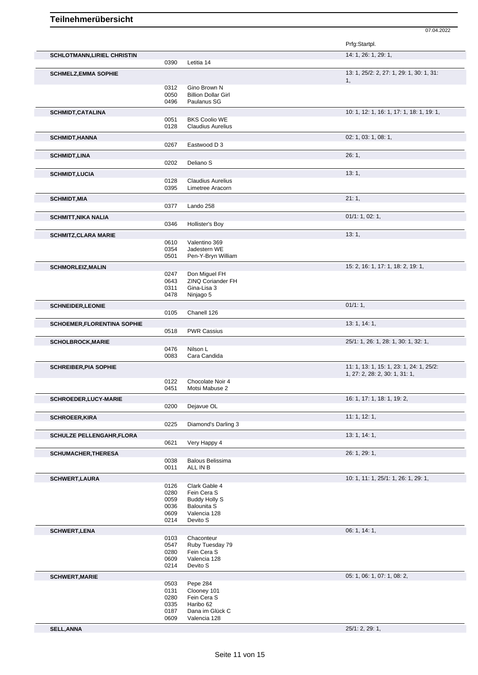|                                    |              |                                     | Prfg:Startpl.                             |
|------------------------------------|--------------|-------------------------------------|-------------------------------------------|
| <b>SCHLOTMANN, LIRIEL CHRISTIN</b> | 0390         | Letitia 14                          | 14: 1, 26: 1, 29: 1,                      |
| <b>SCHMELZ, EMMA SOPHIE</b>        |              |                                     | 13: 1, 25/2: 2, 27: 1, 29: 1, 30: 1, 31:  |
|                                    | 0312         | Gino Brown N                        | 1,                                        |
|                                    | 0050         | <b>Billion Dollar Girl</b>          |                                           |
|                                    | 0496         | Paulanus SG                         |                                           |
| <b>SCHMIDT, CATALINA</b>           |              |                                     | 10: 1, 12: 1, 16: 1, 17: 1, 18: 1, 19: 1, |
|                                    | 0051         | <b>BKS Coolio WE</b>                |                                           |
|                                    | 0128         | <b>Claudius Aurelius</b>            |                                           |
| <b>SCHMIDT, HANNA</b>              | 0267         | Eastwood D 3                        | 02: 1, 03: 1, 08: 1,                      |
|                                    |              |                                     | 26:1,                                     |
| <b>SCHMIDT, LINA</b>               | 0202         | Deliano <sub>S</sub>                |                                           |
| <b>SCHMIDT,LUCIA</b>               |              |                                     | 13:1,                                     |
|                                    | 0128         | <b>Claudius Aurelius</b>            |                                           |
|                                    | 0395         | Limetree Aracorn                    |                                           |
| <b>SCHMIDT, MIA</b>                |              |                                     | 21:1,                                     |
|                                    | 0377         | Lando 258                           |                                           |
| <b>SCHMITT, NIKA NALIA</b>         |              |                                     | 01/1: 1, 02: 1,                           |
|                                    | 0346         | Hollister's Boy                     |                                           |
| <b>SCHMITZ, CLARA MARIE</b>        |              |                                     | 13:1,                                     |
|                                    | 0610         | Valentino 369                       |                                           |
|                                    | 0354<br>0501 | Jadestern WE<br>Pen-Y-Bryn William  |                                           |
| <b>SCHMORLEIZ, MALIN</b>           |              |                                     | 15: 2, 16: 1, 17: 1, 18: 2, 19: 1,        |
|                                    | 0247         | Don Miguel FH                       |                                           |
|                                    | 0643         | ZINQ Coriander FH                   |                                           |
|                                    | 0311         | Gina-Lisa 3                         |                                           |
|                                    | 0478         | Ninjago 5                           |                                           |
| <b>SCHNEIDER, LEONIE</b>           | 0105         | Chanell 126                         | 01/1:1,                                   |
|                                    |              |                                     |                                           |
| <b>SCHOEMER, FLORENTINA SOPHIE</b> | 0518         | <b>PWR Cassius</b>                  | 13:1, 14:1,                               |
|                                    |              |                                     | 25/1: 1, 26: 1, 28: 1, 30: 1, 32: 1,      |
| <b>SCHOLBROCK, MARIE</b>           | 0476         | Nilson L                            |                                           |
|                                    | 0083         | Cara Candida                        |                                           |
| <b>SCHREIBER, PIA SOPHIE</b>       |              |                                     | 11: 1, 13: 1, 15: 1, 23: 1, 24: 1, 25/2:  |
|                                    |              |                                     | 1, 27: 2, 28: 2, 30: 1, 31: 1,            |
|                                    | 0122<br>0451 | Chocolate Noir 4<br>Motsi Mabuse 2  |                                           |
|                                    |              |                                     |                                           |
| <b>SCHROEDER,LUCY-MARIE</b>        | 0200         | Dejavue OL                          | 16: 1, 17: 1, 18: 1, 19: 2,               |
|                                    |              |                                     | 11: 1, 12: 1,                             |
| <b>SCHROEER, KIRA</b>              | 0225         | Diamond's Darling 3                 |                                           |
| <b>SCHULZE PELLENGAHR, FLORA</b>   |              |                                     | 13: 1, 14: 1,                             |
|                                    | 0621         | Very Happy 4                        |                                           |
| SCHUMACHER, THERESA                |              |                                     | 26: 1, 29: 1,                             |
|                                    | 0038         | <b>Balous Belissima</b>             |                                           |
|                                    | 0011         | ALL IN B                            |                                           |
| <b>SCHWERT,LAURA</b>               |              |                                     | 10: 1, 11: 1, 25/1: 1, 26: 1, 29: 1,      |
|                                    | 0126         | Clark Gable 4                       |                                           |
|                                    | 0280<br>0059 | Fein Cera S<br><b>Buddy Holly S</b> |                                           |
|                                    | 0036         | <b>Balounita S</b>                  |                                           |
|                                    | 0609         | Valencia 128                        |                                           |
|                                    | 0214         | Devito S                            |                                           |
| <b>SCHWERT, LENA</b>               |              |                                     | 06: 1, 14: 1,                             |
|                                    | 0103<br>0547 | Chaconteur<br>Ruby Tuesday 79       |                                           |
|                                    | 0280         | Fein Cera S                         |                                           |
|                                    | 0609         | Valencia 128                        |                                           |
|                                    | 0214         | Devito S                            |                                           |
| <b>SCHWERT, MARIE</b>              | 0503         | Pepe 284                            | 05: 1, 06: 1, 07: 1, 08: 2,               |
|                                    | 0131         | Clooney 101                         |                                           |
|                                    | 0280         | Fein Cera S                         |                                           |
|                                    | 0335<br>0187 | Haribo 62<br>Dana im Glück C        |                                           |
|                                    | 0609         | Valencia 128                        |                                           |
| <b>SELL, ANNA</b>                  |              |                                     | 25/1: 2, 29: 1,                           |
|                                    |              |                                     |                                           |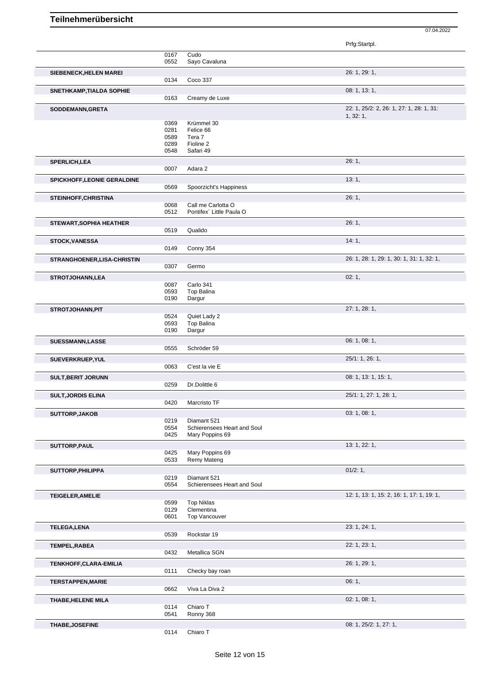|                                    |              |                                            | Prfg:Startpl.                             |
|------------------------------------|--------------|--------------------------------------------|-------------------------------------------|
|                                    | 0167         | Cudo                                       |                                           |
|                                    | 0552         | Sayo Cavaluna                              |                                           |
| SIEBENECK, HELEN MAREI             |              |                                            | 26: 1, 29: 1,                             |
|                                    | 0134         | Coco 337                                   |                                           |
| SNETHKAMP, TIALDA SOPHIE           |              |                                            | 08: 1, 13: 1,                             |
|                                    | 0163         | Creamy de Luxe                             |                                           |
| SODDEMANN, GRETA                   |              |                                            | 22: 1, 25/2: 2, 26: 1, 27: 1, 28: 1, 31:  |
|                                    | 0369         | Krümmel 30                                 | 1, 32: 1,                                 |
|                                    | 0281         | Felice 66                                  |                                           |
|                                    | 0589         | Tera 7                                     |                                           |
|                                    | 0289         | Fioline 2                                  |                                           |
|                                    | 0548         | Safari 49                                  |                                           |
| <b>SPERLICH, LEA</b>               |              |                                            | 26:1,                                     |
|                                    | 0007         | Adara 2                                    |                                           |
| <b>SPICKHOFF,LEONIE GERALDINE</b>  |              |                                            | 13:1,                                     |
|                                    | 0569         | Spoorzicht's Happiness                     |                                           |
| STEINHOFF, CHRISTINA               |              |                                            | 26:1,                                     |
|                                    | 0068         | Call me Carlotta O                         |                                           |
|                                    | 0512         | Pontifex' Little Paula O                   |                                           |
| <b>STEWART, SOPHIA HEATHER</b>     |              |                                            | 26:1,                                     |
|                                    | 0519         | Qualido                                    |                                           |
| <b>STOCK, VANESSA</b>              |              |                                            | 14:1,                                     |
|                                    | 0149         | Conny 354                                  |                                           |
| <b>STRANGHOENER, LISA-CHRISTIN</b> |              |                                            | 26: 1, 28: 1, 29: 1, 30: 1, 31: 1, 32: 1, |
|                                    | 0307         | Germo                                      |                                           |
| <b>STROTJOHANN,LEA</b>             |              |                                            | 02:1,                                     |
|                                    | 0087         | Carlo 341                                  |                                           |
|                                    | 0593<br>0190 | <b>Top Balina</b><br>Dargur                |                                           |
|                                    |              |                                            |                                           |
| STROTJOHANN, PIT                   | 0524         | Quiet Lady 2                               | 27: 1, 28: 1,                             |
|                                    | 0593         | Top Balina                                 |                                           |
|                                    | 0190         | Dargur                                     |                                           |
| <b>SUESSMANN,LASSE</b>             |              |                                            | 06: 1, 08: 1,                             |
|                                    | 0555         | Schröder 59                                |                                           |
| SUEVERKRUEP, YUL                   |              |                                            | 25/1: 1, 26: 1,                           |
|                                    | 0063         | C'est la vie E                             |                                           |
| <b>SULT, BERIT JORUNN</b>          |              |                                            | 08: 1, 13: 1, 15: 1,                      |
|                                    | 0259         | Dr.Dolittle 6                              |                                           |
| <b>SULT, JORDIS ELINA</b>          |              |                                            | 25/1: 1, 27: 1, 28: 1,                    |
|                                    | 0420         | Marcristo TF                               |                                           |
| SUTTORP, JAKOB                     |              |                                            | 03: 1, 08: 1,                             |
|                                    | 0219         | Diamant 521                                |                                           |
|                                    | 0554         | Schierensees Heart and Soul                |                                           |
|                                    | 0425         | Mary Poppins 69                            |                                           |
| SUTTORP, PAUL                      |              |                                            | 13: 1, 22: 1,                             |
|                                    | 0425<br>0533 | Mary Poppins 69<br><b>Remy Mateng</b>      |                                           |
|                                    |              |                                            |                                           |
| <b>SUTTORP, PHILIPPA</b>           |              |                                            | 01/2:1,                                   |
|                                    | 0219<br>0554 | Diamant 521<br>Schierensees Heart and Soul |                                           |
|                                    |              |                                            | 12: 1, 13: 1, 15: 2, 16: 1, 17: 1, 19: 1, |
| <b>TEIGELER, AMELIE</b>            | 0599         | <b>Top Niklas</b>                          |                                           |
|                                    | 0129         | Clementina                                 |                                           |
|                                    | 0601         | <b>Top Vancouver</b>                       |                                           |
| <b>TELEGA,LENA</b>                 |              |                                            | 23: 1, 24: 1,                             |
|                                    | 0539         | Rockstar 19                                |                                           |
| <b>TEMPEL, RABEA</b>               |              |                                            | 22: 1, 23: 1,                             |
|                                    | 0432         | Metallica SGN                              |                                           |
| TENKHOFF, CLARA-EMILIA             |              |                                            | 26: 1, 29: 1,                             |
|                                    | 0111         | Checky bay roan                            |                                           |
| <b>TERSTAPPEN, MARIE</b>           |              |                                            | 06:1,                                     |
|                                    | 0662         | Viva La Diva 2                             |                                           |
| THABE, HELENE MILA                 |              |                                            | 02: 1, 08: 1,                             |
|                                    | 0114         | Chiaro T                                   |                                           |
|                                    | 0541         | Ronny 368                                  |                                           |
|                                    |              |                                            |                                           |

07.04.2022

**THABE, JOSEFINE** 08: 1, 25/2: 1, 27: 1, 08: 1, 25/2: 1, 27: 1, Chiaro T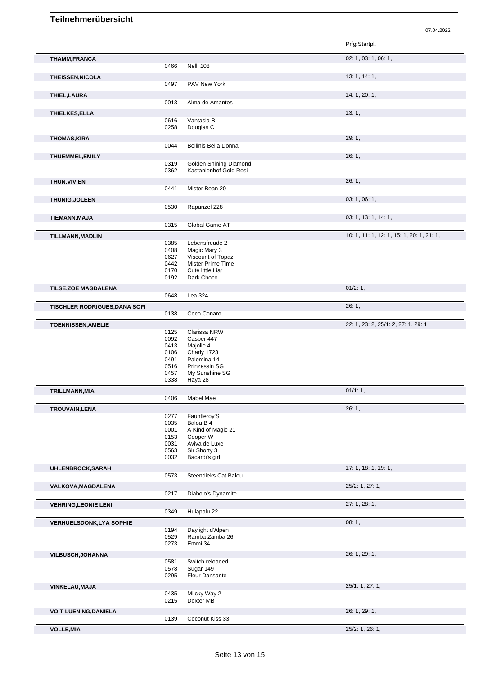| Δ. |
|----|

|                                      |              |                                               | Prfg:Startpl.                             |
|--------------------------------------|--------------|-----------------------------------------------|-------------------------------------------|
| THAMM, FRANCA                        |              |                                               | 02: 1, 03: 1, 06: 1,                      |
|                                      | 0466         | Nelli 108                                     |                                           |
| THEISSEN, NICOLA                     | 0497         | PAV New York                                  | 13: 1, 14: 1,                             |
|                                      |              |                                               |                                           |
| THIEL, LAURA                         | 0013         | Alma de Amantes                               | 14: 1, 20: 1,                             |
|                                      |              |                                               |                                           |
| THIELKES, ELLA                       | 0616         | Vantasia B                                    | 13:1,                                     |
|                                      | 0258         | Douglas C                                     |                                           |
| <b>THOMAS, KIRA</b>                  |              |                                               | 29:1,                                     |
|                                      | 0044         | Bellinis Bella Donna                          |                                           |
| <b>THUEMMEL, EMILY</b>               |              |                                               | 26:1,                                     |
|                                      | 0319         | Golden Shining Diamond                        |                                           |
|                                      | 0362         | Kastanienhof Gold Rosi                        |                                           |
| <b>THUN, VIVIEN</b>                  | 0441         | Mister Bean 20                                | 26:1,                                     |
|                                      |              |                                               |                                           |
| THUNIG, JOLEEN                       | 0530         | Rapunzel 228                                  | 03: 1, 06: 1,                             |
|                                      |              |                                               |                                           |
| <b>TIEMANN, MAJA</b>                 | 0315         | Global Game AT                                | 03: 1, 13: 1, 14: 1,                      |
|                                      |              |                                               | 10: 1, 11: 1, 12: 1, 15: 1, 20: 1, 21: 1, |
| <b>TILLMANN, MADLIN</b>              | 0385         | Lebensfreude 2                                |                                           |
|                                      | 0408         | Magic Mary 3                                  |                                           |
|                                      | 0627<br>0442 | Viscount of Topaz<br><b>Mister Prime Time</b> |                                           |
|                                      | 0170         | Cute little Liar                              |                                           |
|                                      | 0192         | Dark Choco                                    |                                           |
| <b>TILSE, ZOE MAGDALENA</b>          |              |                                               | 01/2: 1,                                  |
|                                      | 0648         | Lea 324                                       |                                           |
| <b>TISCHLER RODRIGUES, DANA SOFI</b> |              | Coco Conaro                                   | 26:1,                                     |
|                                      | 0138         |                                               |                                           |
| <b>TOENNISSEN, AMELIE</b>            | 0125         | Clarissa NRW                                  | 22: 1, 23: 2, 25/1: 2, 27: 1, 29: 1,      |
|                                      | 0092         | Casper 447                                    |                                           |
|                                      | 0413         | Majolie 4                                     |                                           |
|                                      | 0106         | Charly 1723                                   |                                           |
|                                      | 0491<br>0516 | Palomina 14<br>Prinzessin SG                  |                                           |
|                                      | 0457         | My Sunshine SG                                |                                           |
|                                      | 0338         | Haya 28                                       |                                           |
| TRILLMANN, MIA                       |              |                                               | 01/1:1,                                   |
|                                      | 0406         | Mabel Mae                                     |                                           |
| <b>TROUVAIN,LENA</b>                 |              |                                               | 26:1,                                     |
|                                      | 0277<br>0035 | Fauntleroy'S<br>Balou B 4                     |                                           |
|                                      | 0001         | A Kind of Magic 21                            |                                           |
|                                      | 0153         | Cooper W                                      |                                           |
|                                      | 0031         | Aviva de Luxe                                 |                                           |
|                                      | 0563         | Sir Shorty 3                                  |                                           |
|                                      | 0032         | Bacardi's girl                                |                                           |
| UHLENBROCK, SARAH                    | 0573         | Steendieks Cat Balou                          | 17: 1, 18: 1, 19: 1,                      |
|                                      |              |                                               |                                           |
| VALKOVA, MAGDALENA                   | 0217         | Diabolo's Dynamite                            | 25/2: 1, 27: 1,                           |
| <b>VEHRING, LEONIE LENI</b>          |              |                                               | 27: 1, 28: 1,                             |
|                                      | 0349         | Hulapalu 22                                   |                                           |
| <b>VERHUELSDONK,LYA SOPHIE</b>       |              |                                               | 08:1,                                     |
|                                      | 0194         | Daylight d'Alpen                              |                                           |
|                                      | 0529<br>0273 | Ramba Zamba 26<br>Emmi 34                     |                                           |
| VILBUSCH, JOHANNA                    |              |                                               | 26: 1, 29: 1,                             |
|                                      | 0581         | Switch reloaded                               |                                           |
|                                      | 0578         | Sugar 149                                     |                                           |
|                                      | 0295         | <b>Fleur Dansante</b>                         |                                           |
| <b>VINKELAU, MAJA</b>                |              |                                               | 25/1: 1, 27: 1,                           |
|                                      | 0435<br>0215 | Milcky Way 2<br>Dexter MB                     |                                           |
|                                      |              |                                               | 26: 1, 29: 1,                             |
| <b>VOIT-LUENING, DANIELA</b>         | 0139         | Coconut Kiss 33                               |                                           |
| <b>VOLLE, MIA</b>                    |              |                                               | 25/2: 1, 26: 1,                           |
|                                      |              |                                               |                                           |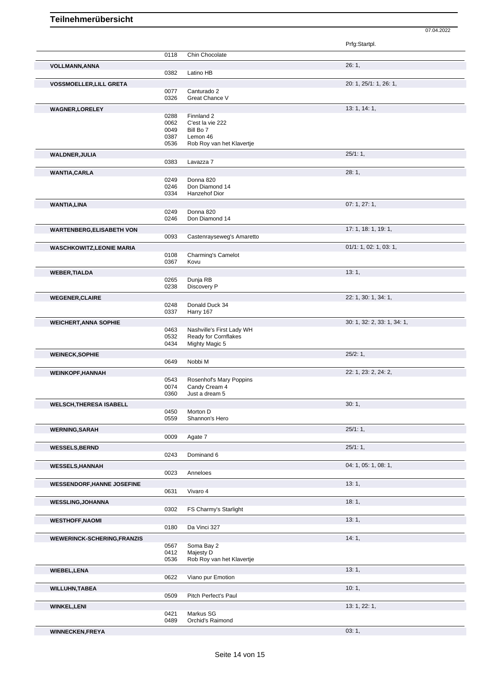|                                    |              |                                        | Prfg:Startpl.               |  |
|------------------------------------|--------------|----------------------------------------|-----------------------------|--|
|                                    | 0118         | Chin Chocolate                         |                             |  |
| <b>VOLLMANN, ANNA</b>              |              |                                        | 26:1,                       |  |
|                                    | 0382         | Latino HB                              |                             |  |
| <b>VOSSMOELLER, LILL GRETA</b>     |              |                                        | 20: 1, 25/1: 1, 26: 1,      |  |
|                                    | 0077<br>0326 | Canturado 2<br>Great Chance V          |                             |  |
|                                    |              |                                        | 13: 1, 14: 1,               |  |
| <b>WAGNER, LORELEY</b>             | 0288         | Finnland 2                             |                             |  |
|                                    | 0062         | C'est la vie 222                       |                             |  |
|                                    | 0049         | Bill Bo 7                              |                             |  |
|                                    | 0387<br>0536 | Lemon 46<br>Rob Roy van het Klavertje  |                             |  |
|                                    |              |                                        |                             |  |
| <b>WALDNER, JULIA</b>              | 0383         | Lavazza 7                              | 25/1:1,                     |  |
|                                    |              |                                        |                             |  |
| <b>WANTIA, CARLA</b>               | 0249         | Donna 820                              | 28:1,                       |  |
|                                    | 0246         | Don Diamond 14                         |                             |  |
|                                    | 0334         | Hanzehof Dior                          |                             |  |
| <b>WANTIA,LINA</b>                 |              |                                        | 07:1, 27:1,                 |  |
|                                    | 0249         | Donna 820                              |                             |  |
|                                    | 0246         | Don Diamond 14                         |                             |  |
| <b>WARTENBERG, ELISABETH VON</b>   |              |                                        | 17: 1, 18: 1, 19: 1,        |  |
|                                    | 0093         | Castenrayseweg's Amaretto              |                             |  |
| <b>WASCHKOWITZ,LEONIE MARIA</b>    |              |                                        | 01/1: 1, 02: 1, 03: 1,      |  |
|                                    | 0108<br>0367 | Charming's Camelot<br>Kovu             |                             |  |
|                                    |              |                                        |                             |  |
| <b>WEBER, TIALDA</b>               | 0265         | Dunja RB                               | 13:1,                       |  |
|                                    | 0238         | Discovery P                            |                             |  |
| <b>WEGENER, CLAIRE</b>             |              |                                        | 22: 1, 30: 1, 34: 1,        |  |
|                                    | 0248         | Donald Duck 34                         |                             |  |
|                                    | 0337         | Harry 167                              |                             |  |
| <b>WEICHERT, ANNA SOPHIE</b>       |              |                                        | 30: 1, 32: 2, 33: 1, 34: 1, |  |
|                                    | 0463         | Nashville's First Lady WH              |                             |  |
|                                    | 0532<br>0434 | Ready for Cornflakes<br>Mighty Magic 5 |                             |  |
|                                    |              |                                        |                             |  |
| <b>WEINECK, SOPHIE</b>             | 0649         | Nobbi M                                | 25/2:1,                     |  |
|                                    |              |                                        |                             |  |
| <b>WEINKOPF, HANNAH</b>            | 0543         | Rosenhof's Mary Poppins                | 22: 1, 23: 2, 24: 2,        |  |
|                                    | 0074         | Candy Cream 4                          |                             |  |
|                                    | 0360         | Just a dream 5                         |                             |  |
| <b>WELSCH, THERESA ISABELL</b>     |              |                                        | 30:1,                       |  |
|                                    | 0450         | Morton D                               |                             |  |
|                                    | 0559         | Shannon's Hero                         |                             |  |
| <b>WERNING, SARAH</b>              |              |                                        | $25/1:1$ ,                  |  |
|                                    | 0009         | Agate 7                                |                             |  |
| <b>WESSELS, BERND</b>              |              |                                        | 25/1:1,                     |  |
|                                    | 0243         | Dominand 6                             |                             |  |
| <b>WESSELS, HANNAH</b>             |              |                                        | 04: 1, 05: 1, 08: 1,        |  |
|                                    | 0023         | Anneloes                               |                             |  |
| <b>WESSENDORF, HANNE JOSEFINE</b>  |              |                                        | 13:1,                       |  |
|                                    | 0631         | Vivaro 4                               |                             |  |
| <b>WESSLING, JOHANNA</b>           |              |                                        | 18:1,                       |  |
|                                    | 0302         | FS Charmy's Starlight                  |                             |  |
| <b>WESTHOFF, NAOMI</b>             |              |                                        | 13:1,                       |  |
|                                    | 0180         | Da Vinci 327                           |                             |  |
| <b>WEWERINCK-SCHERING, FRANZIS</b> |              |                                        | 14:1,                       |  |
|                                    | 0567<br>0412 | Soma Bay 2<br>Majesty D                |                             |  |
|                                    | 0536         | Rob Roy van het Klavertje              |                             |  |
| <b>WIEBEL,LENA</b>                 |              |                                        | 13:1,                       |  |
|                                    | 0622         | Viano pur Emotion                      |                             |  |
|                                    |              |                                        | 10:1,                       |  |
| <b>WILLUHN, TABEA</b>              | 0509         | Pitch Perfect's Paul                   |                             |  |
|                                    |              |                                        | 13: 1, 22: 1,               |  |
| <b>WINKEL,LENI</b>                 | 0421         | Markus SG                              |                             |  |
|                                    | 0489         | Orchid's Raimond                       |                             |  |
| <b>WINNECKEN, FREYA</b>            |              |                                        | 03:1,                       |  |
|                                    |              |                                        |                             |  |